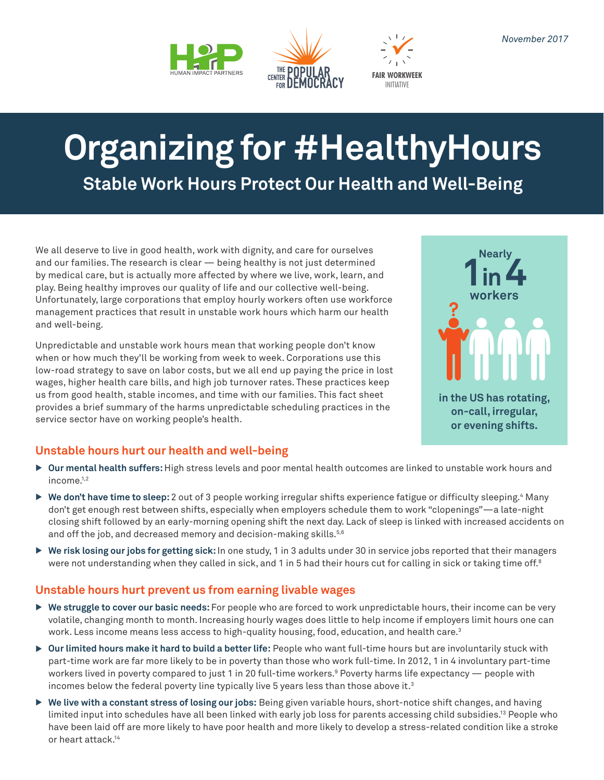



INITIATIVE **FAIR WORKWEEK**

# **Organizing for #HealthyHours Stable Work Hours Protect Our Health and Well-Being**

We all deserve to live in good health, work with dignity, and care for ourselves and our families. The research is clear — being healthy is not just determined by medical care, but is actually more affected by where we live, work, learn, and play. Being healthy improves our quality of life and our collective well-being. Unfortunately, large corporations that employ hourly workers often use workforce management practices that result in unstable work hours which harm our health and well-being.

Unpredictable and unstable work hours mean that working people don't know when or how much they'll be working from week to week. Corporations use this low-road strategy to save on labor costs, but we all end up paying the price in lost wages, higher health care bills, and high job turnover rates. These practices keep us from good health, stable incomes, and time with our families. This fact sheet provides a brief summary of the harms unpredictable scheduling practices in the service sector have on working people's health.



## **Unstable hours hurt our health and well-being**

- ▶ Our mental health suffers: High stress levels and poor mental health outcomes are linked to unstable work hours and income.<sup>1,2</sup>
- ▶ We don't have time to sleep: 2 out of 3 people working irregular shifts experience fatigue or difficulty sleeping.<sup>4</sup> Many don't get enough rest between shifts, especially when employers schedule them to work "clopenings"—a late-night closing shift followed by an early-morning opening shift the next day. Lack of sleep is linked with increased accidents on and off the job, and decreased memory and decision-making skills.<sup>5,6</sup>
- ▶ We risk losing our jobs for getting sick: In one study, 1 in 3 adults under 30 in service jobs reported that their managers were not understanding when they called in sick, and 1 in 5 had their hours cut for calling in sick or taking time off.<sup>8</sup>

## **Unstable hours hurt prevent us from earning livable wages**

- ▶ We struggle to cover our basic needs: For people who are forced to work unpredictable hours, their income can be very volatile, changing month to month. Increasing hourly wages does little to help income if employers limit hours one can work. Less income means less access to high-quality housing, food, education, and health care.<sup>3</sup>
- ▶ Our limited hours make it hard to build a better life: People who want full-time hours but are involuntarily stuck with part-time work are far more likely to be in poverty than those who work full-time. In 2012, 1 in 4 involuntary part-time workers lived in poverty compared to just 1 in 20 full-time workers.º Poverty harms life expectancy — people with incomes below the federal poverty line typically live 5 years less than those above it. $3$
- ▶ We live with a constant stress of losing our jobs: Being given variable hours, short-notice shift changes, and having limited input into schedules have all been linked with early job loss for parents accessing child subsidies.13 People who have been laid off are more likely to have poor health and more likely to develop a stress-related condition like a stroke or heart attack<sup>14</sup>